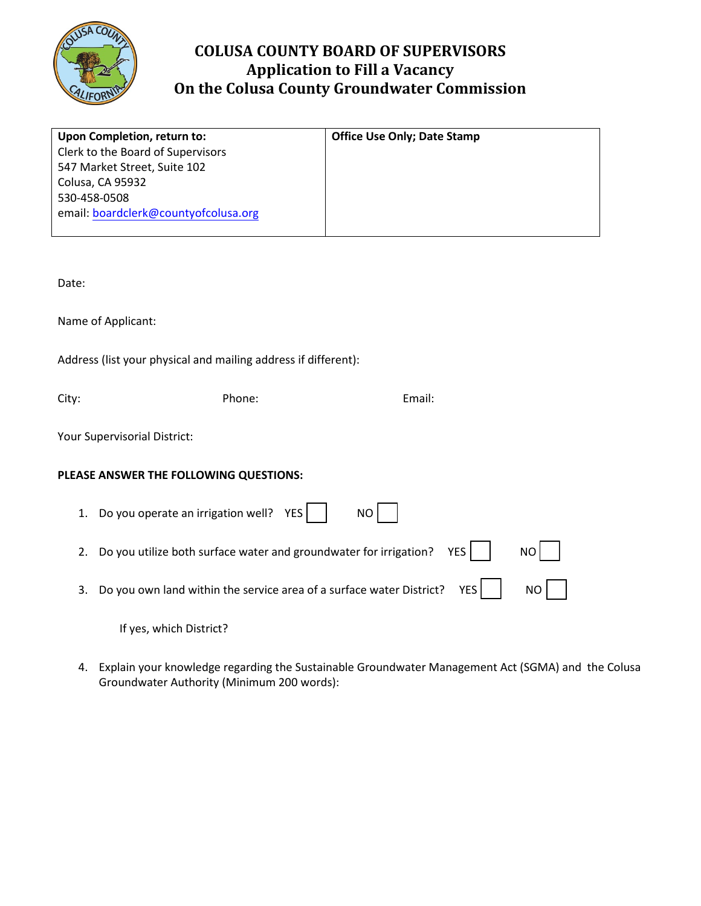

## **COLUSA COUNTY BOARD OF SUPERVISORS Application to Fill a Vacancy On the Colusa County Groundwater Commission**

| Upon Completion, return to:          | <b>Office Use Only; Date Stamp</b> |
|--------------------------------------|------------------------------------|
| Clerk to the Board of Supervisors    |                                    |
| 547 Market Street, Suite 102         |                                    |
| Colusa, CA 95932                     |                                    |
| 530-458-0508                         |                                    |
| email: boardclerk@countyofcolusa.org |                                    |
|                                      |                                    |

Date:

Name of Applicant:

Address (list your physical and mailing address if different):

City: Phone: Email:

Your Supervisorial District:

## **PLEASE ANSWER THE FOLLOWING QUESTIONS:**

| 1. Do you operate an irrigation well? $YES$     NO                                                             |  |  |
|----------------------------------------------------------------------------------------------------------------|--|--|
| 2. Do you utilize both surface water and groundwater for irrigation? YES $\vert$ $\vert$ NO $\vert$ $\vert$    |  |  |
| 3. Do you own land within the service area of a surface water District? YES $\vert$ $\vert$ NO $\vert$ $\vert$ |  |  |

If yes, which District?

4. Explain your knowledge regarding the Sustainable Groundwater Management Act (SGMA) and the Colusa Groundwater Authority (Minimum 200 words):